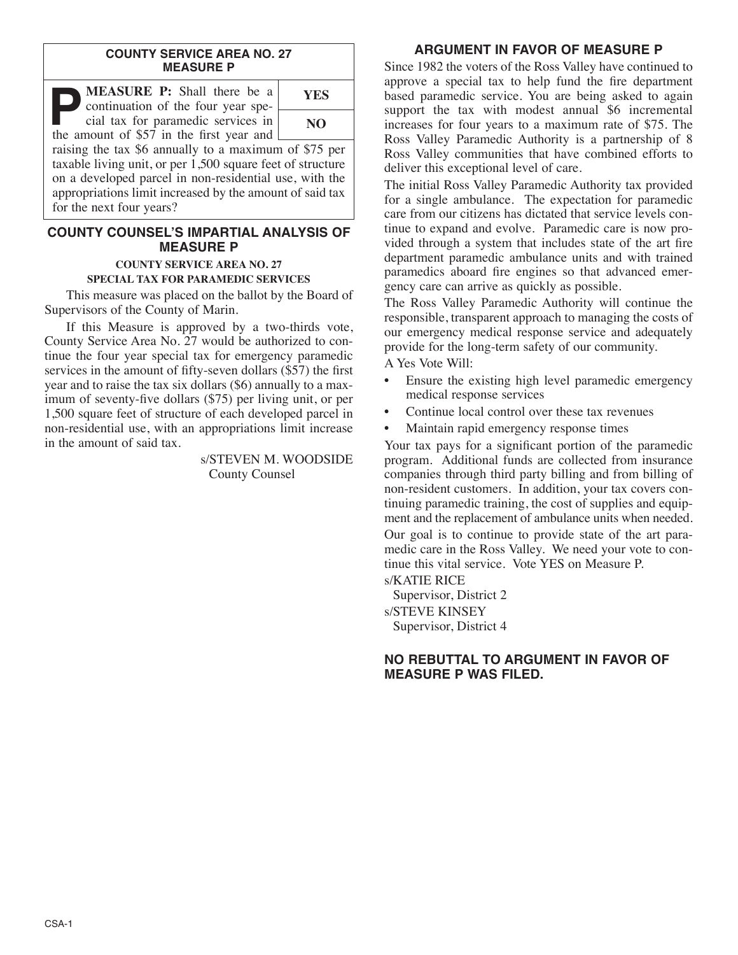#### **COUNTY SERVICE AREA NO. 27 MEASURE P**

| <b>MEASURE P:</b> Shall there be a<br>continuation of the four year spe-                                           | <b>YES</b> |
|--------------------------------------------------------------------------------------------------------------------|------------|
| cial tax for paramedic services in<br>the amount of \$57 in the first year and [                                   | NO         |
| raising the tax \$6 annually to a maximum of \$75 per<br>tovable living unit on new 1.500 square feet of structure |            |

taxable living unit, or per 1,500 square feet of structure on a developed parcel in non-residential use, with the appropriations limit increased by the amount of said tax for the next four years?

### **COUNTY COUNSEL'S IMPARTIAL ANALYSIS OF MEASURE P**

#### **COUNTY SERVICE AREA NO. 27 SPECIAL TAX FOR PARAMEDIC SERVICES**

This measure was placed on the ballot by the Board of Supervisors of the County of Marin.

If this Measure is approved by a two-thirds vote, County Service Area No. 27 would be authorized to continue the four year special tax for emergency paramedic services in the amount of fifty-seven dollars (\$57) the first year and to raise the tax six dollars (\$6) annually to a maximum of seventy-five dollars (\$75) per living unit, or per 1,500 square feet of structure of each developed parcel in non-residential use, with an appropriations limit increase in the amount of said tax.

> s/STEVEN M. WOODSIDE County Counsel

# **ARGUMENT IN FAVOR OF MEASURE P**

Since 1982 the voters of the Ross Valley have continued to approve a special tax to help fund the fire department based paramedic service. You are being asked to again support the tax with modest annual \$6 incremental increases for four years to a maximum rate of \$75. The Ross Valley Paramedic Authority is a partnership of 8 Ross Valley communities that have combined efforts to deliver this exceptional level of care.

The initial Ross Valley Paramedic Authority tax provided for a single ambulance. The expectation for paramedic care from our citizens has dictated that service levels continue to expand and evolve. Paramedic care is now provided through a system that includes state of the art fire department paramedic ambulance units and with trained paramedics aboard fire engines so that advanced emergency care can arrive as quickly as possible.

The Ross Valley Paramedic Authority will continue the responsible, transparent approach to managing the costs of our emergency medical response service and adequately provide for the long-term safety of our community.

A Yes Vote Will:

- Ensure the existing high level paramedic emergency medical response services
- Continue local control over these tax revenues
- Maintain rapid emergency response times

Your tax pays for a significant portion of the paramedic program. Additional funds are collected from insurance companies through third party billing and from billing of non-resident customers. In addition, your tax covers continuing paramedic training, the cost of supplies and equipment and the replacement of ambulance units when needed.

Our goal is to continue to provide state of the art paramedic care in the Ross Valley. We need your vote to continue this vital service. Vote YES on Measure P.

s/KATIE RICE Supervisor, District 2 s/STEVE KINSEY Supervisor, District 4

## **NO REBUTTAL TO ARGUMENT IN FAVOR OF MEASURE P WAS FILED.**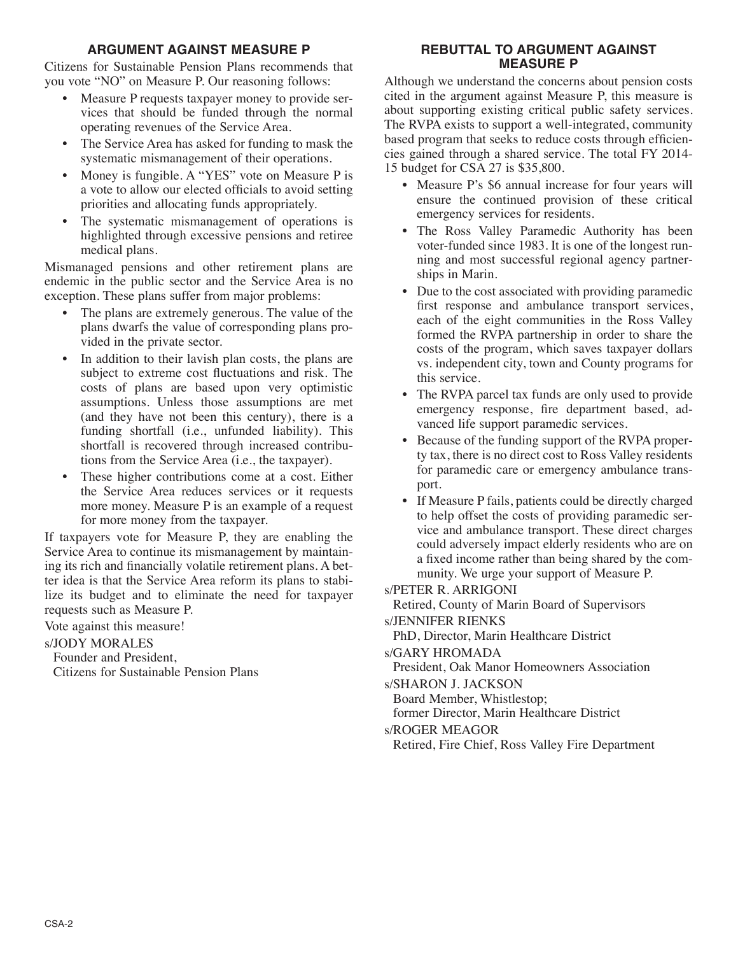# **ARGUMENT AGAINST MEASURE P**

Citizens for Sustainable Pension Plans recommends that you vote "NO" on Measure P. Our reasoning follows:

- Measure P requests taxpayer money to provide services that should be funded through the normal operating revenues of the Service Area.
- The Service Area has asked for funding to mask the systematic mismanagement of their operations.
- Money is fungible. A "YES" vote on Measure P is a vote to allow our elected officials to avoid setting priorities and allocating funds appropriately.
- The systematic mismanagement of operations is highlighted through excessive pensions and retiree medical plans.

Mismanaged pensions and other retirement plans are endemic in the public sector and the Service Area is no exception. These plans suffer from major problems:

- The plans are extremely generous. The value of the plans dwarfs the value of corresponding plans provided in the private sector.
- In addition to their lavish plan costs, the plans are subject to extreme cost fluctuations and risk. The costs of plans are based upon very optimistic assumptions. Unless those assumptions are met (and they have not been this century), there is a funding shortfall (i.e., unfunded liability). This shortfall is recovered through increased contributions from the Service Area (i.e., the taxpayer).
- These higher contributions come at a cost. Either the Service Area reduces services or it requests more money. Measure P is an example of a request for more money from the taxpayer.

If taxpayers vote for Measure P, they are enabling the Service Area to continue its mismanagement by maintaining its rich and financially volatile retirement plans. A better idea is that the Service Area reform its plans to stabilize its budget and to eliminate the need for taxpayer requests such as Measure P.

Vote against this measure!

s/JODY MORALES

Founder and President, Citizens for Sustainable Pension Plans

### **REBUTTAL TO ARGUMENT AGAINST MEASURE P**

Although we understand the concerns about pension costs cited in the argument against Measure P, this measure is about supporting existing critical public safety services. The RVPA exists to support a well-integrated, community based program that seeks to reduce costs through efficiencies gained through a shared service. The total FY 2014- 15 budget for CSA 27 is \$35,800.

- Measure P's \$6 annual increase for four years will ensure the continued provision of these critical emergency services for residents.
- The Ross Valley Paramedic Authority has been voter-funded since 1983. It is one of the longest running and most successful regional agency partnerships in Marin.
- Due to the cost associated with providing paramedic first response and ambulance transport services, each of the eight communities in the Ross Valley formed the RVPA partnership in order to share the costs of the program, which saves taxpayer dollars vs. independent city, town and County programs for this service.
- The RVPA parcel tax funds are only used to provide emergency response, fire department based, advanced life support paramedic services.
- Because of the funding support of the RVPA property tax, there is no direct cost to Ross Valley residents for paramedic care or emergency ambulance transport.
- If Measure P fails, patients could be directly charged to help offset the costs of providing paramedic service and ambulance transport. These direct charges could adversely impact elderly residents who are on a fixed income rather than being shared by the community. We urge your support of Measure P.

### s/PETER R. ARRIGONI

Retired, County of Marin Board of Supervisors s/JENNIFER RIENKS

PhD, Director, Marin Healthcare District

s/GARY HROMADA

President, Oak Manor Homeowners Association

s/SHARON J. JACKSON

Board Member, Whistlestop;

former Director, Marin Healthcare District

s/ROGER MEAGOR

Retired, Fire Chief, Ross Valley Fire Department